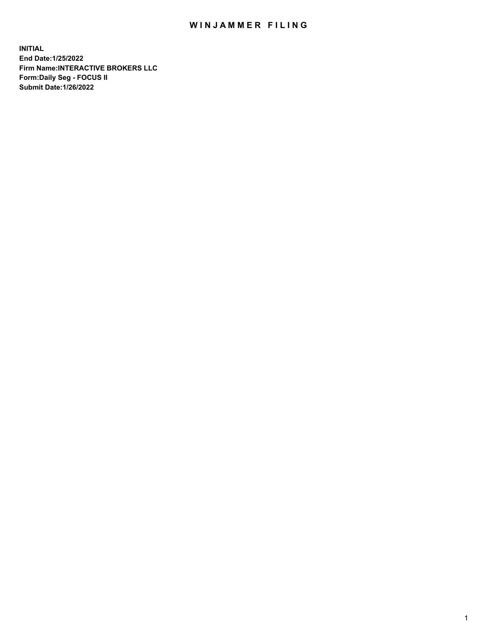## WIN JAMMER FILING

**INITIAL End Date:1/25/2022 Firm Name:INTERACTIVE BROKERS LLC Form:Daily Seg - FOCUS II Submit Date:1/26/2022**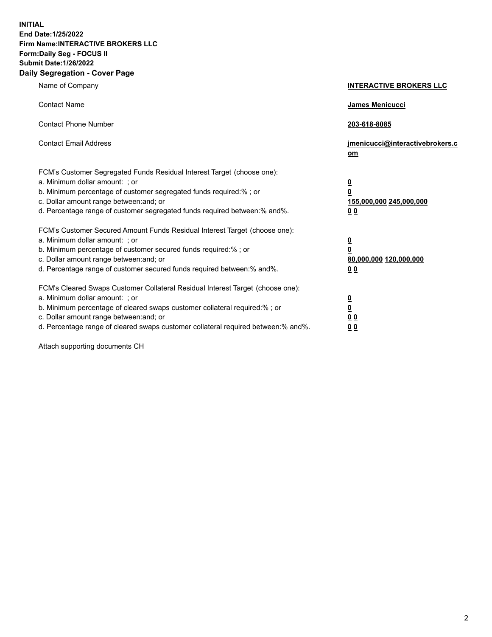**INITIAL End Date:1/25/2022 Firm Name:INTERACTIVE BROKERS LLC Form:Daily Seg - FOCUS II Submit Date:1/26/2022 Daily Segregation - Cover Page**

| Name of Company                                                                                                                                                                                                                                                                                                                | <b>INTERACTIVE BROKERS LLC</b>                                                                  |
|--------------------------------------------------------------------------------------------------------------------------------------------------------------------------------------------------------------------------------------------------------------------------------------------------------------------------------|-------------------------------------------------------------------------------------------------|
| <b>Contact Name</b>                                                                                                                                                                                                                                                                                                            | James Menicucci                                                                                 |
| <b>Contact Phone Number</b>                                                                                                                                                                                                                                                                                                    | 203-618-8085                                                                                    |
| <b>Contact Email Address</b>                                                                                                                                                                                                                                                                                                   | jmenicucci@interactivebrokers.c<br><u>om</u>                                                    |
| FCM's Customer Segregated Funds Residual Interest Target (choose one):<br>a. Minimum dollar amount: ; or<br>b. Minimum percentage of customer segregated funds required:% ; or<br>c. Dollar amount range between: and; or<br>d. Percentage range of customer segregated funds required between:% and%.                         | $\overline{\mathbf{0}}$<br>$\overline{\mathbf{0}}$<br>155,000,000 245,000,000<br>0 <sub>0</sub> |
| FCM's Customer Secured Amount Funds Residual Interest Target (choose one):<br>a. Minimum dollar amount: ; or<br>b. Minimum percentage of customer secured funds required:% ; or<br>c. Dollar amount range between: and; or<br>d. Percentage range of customer secured funds required between:% and%.                           | $\overline{\mathbf{0}}$<br>$\overline{\mathbf{0}}$<br>80,000,000 120,000,000<br>0 <sub>0</sub>  |
| FCM's Cleared Swaps Customer Collateral Residual Interest Target (choose one):<br>a. Minimum dollar amount: ; or<br>b. Minimum percentage of cleared swaps customer collateral required:% ; or<br>c. Dollar amount range between: and; or<br>d. Percentage range of cleared swaps customer collateral required between:% and%. | $\overline{\mathbf{0}}$<br>$\overline{\mathbf{0}}$<br>0 <sub>0</sub><br>0 <sub>0</sub>          |

Attach supporting documents CH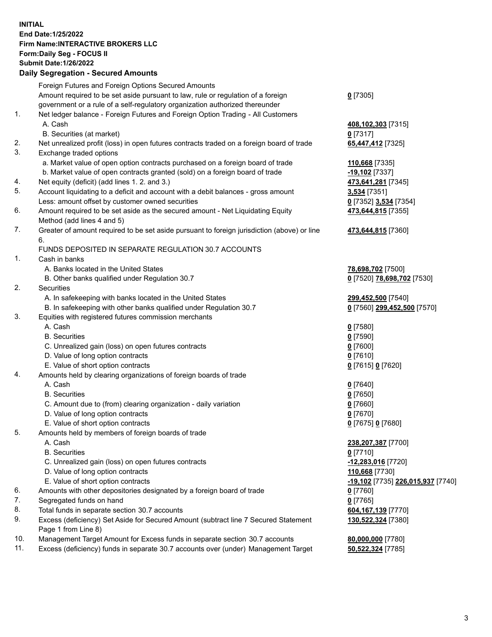**INITIAL End Date:1/25/2022 Firm Name:INTERACTIVE BROKERS LLC Form:Daily Seg - FOCUS II Submit Date:1/26/2022 Daily Segregation - Secured Amounts**

|                | Dany Ocgregation - Oceanea Anioante                                                                        |                                   |
|----------------|------------------------------------------------------------------------------------------------------------|-----------------------------------|
|                | Foreign Futures and Foreign Options Secured Amounts                                                        |                                   |
|                | Amount required to be set aside pursuant to law, rule or regulation of a foreign                           | $0$ [7305]                        |
|                | government or a rule of a self-regulatory organization authorized thereunder                               |                                   |
| 1.             | Net ledger balance - Foreign Futures and Foreign Option Trading - All Customers                            |                                   |
|                | A. Cash                                                                                                    | 408,102,303 [7315]                |
|                | B. Securities (at market)                                                                                  | $0$ [7317]                        |
| 2.             | Net unrealized profit (loss) in open futures contracts traded on a foreign board of trade                  | 65,447,412 [7325]                 |
| 3.             | Exchange traded options                                                                                    |                                   |
|                | a. Market value of open option contracts purchased on a foreign board of trade                             | 110,668 [7335]                    |
|                | b. Market value of open contracts granted (sold) on a foreign board of trade                               | <u>-19,102</u> [7337]             |
| 4.             | Net equity (deficit) (add lines 1. 2. and 3.)                                                              | 473,641,281 [7345]                |
| 5.             | Account liquidating to a deficit and account with a debit balances - gross amount                          | 3,534 [7351]                      |
|                | Less: amount offset by customer owned securities                                                           | 0 [7352] 3,534 [7354]             |
| 6.             | Amount required to be set aside as the secured amount - Net Liquidating Equity                             | 473,644,815 [7355]                |
|                | Method (add lines 4 and 5)                                                                                 |                                   |
| 7.             | Greater of amount required to be set aside pursuant to foreign jurisdiction (above) or line<br>6.          | 473,644,815 [7360]                |
|                | FUNDS DEPOSITED IN SEPARATE REGULATION 30.7 ACCOUNTS                                                       |                                   |
| $\mathbf{1}$ . | Cash in banks                                                                                              |                                   |
|                | A. Banks located in the United States                                                                      | 78,698,702 [7500]                 |
|                | B. Other banks qualified under Regulation 30.7                                                             | 0 [7520] 78,698,702 [7530]        |
| 2.             | Securities                                                                                                 |                                   |
|                | A. In safekeeping with banks located in the United States                                                  | 299,452,500 [7540]                |
|                | B. In safekeeping with other banks qualified under Regulation 30.7                                         | 0 [7560] 299,452,500 [7570]       |
| 3.             | Equities with registered futures commission merchants                                                      |                                   |
|                | A. Cash                                                                                                    | $0$ [7580]                        |
|                | <b>B.</b> Securities                                                                                       | $0$ [7590]                        |
|                | C. Unrealized gain (loss) on open futures contracts                                                        | $0$ [7600]                        |
|                | D. Value of long option contracts                                                                          | $0$ [7610]                        |
|                | E. Value of short option contracts                                                                         | 0 [7615] 0 [7620]                 |
| 4.             | Amounts held by clearing organizations of foreign boards of trade                                          |                                   |
|                | A. Cash                                                                                                    | $Q$ [7640]                        |
|                | <b>B.</b> Securities                                                                                       | $0$ [7650]                        |
|                | C. Amount due to (from) clearing organization - daily variation                                            | $0$ [7660]                        |
|                | D. Value of long option contracts                                                                          | $0$ [7670]                        |
|                | E. Value of short option contracts                                                                         | 0 [7675] 0 [7680]                 |
| 5.             | Amounts held by members of foreign boards of trade                                                         |                                   |
|                | A. Cash                                                                                                    | 238,207,387 [7700]                |
|                | <b>B.</b> Securities                                                                                       | $0$ [7710]                        |
|                | C. Unrealized gain (loss) on open futures contracts                                                        | 12,283,016 [7720]                 |
|                | D. Value of long option contracts                                                                          | 110,668 [7730]                    |
|                | E. Value of short option contracts                                                                         | -19,102 [7735] 226,015,937 [7740] |
| 6.             | Amounts with other depositories designated by a foreign board of trade                                     | 0 [7760]                          |
| 7.             | Segregated funds on hand                                                                                   | $0$ [7765]                        |
| 8.             | Total funds in separate section 30.7 accounts                                                              | 604, 167, 139 [7770]              |
| 9.             | Excess (deficiency) Set Aside for Secured Amount (subtract line 7 Secured Statement<br>Page 1 from Line 8) | 130,522,324 [7380]                |
| 10.            | Management Target Amount for Excess funds in separate section 30.7 accounts                                | 80,000,000 [7780]                 |
| 11.            | Excess (deficiency) funds in separate 30.7 accounts over (under) Management Target                         | 50,522,324 [7785]                 |
|                |                                                                                                            |                                   |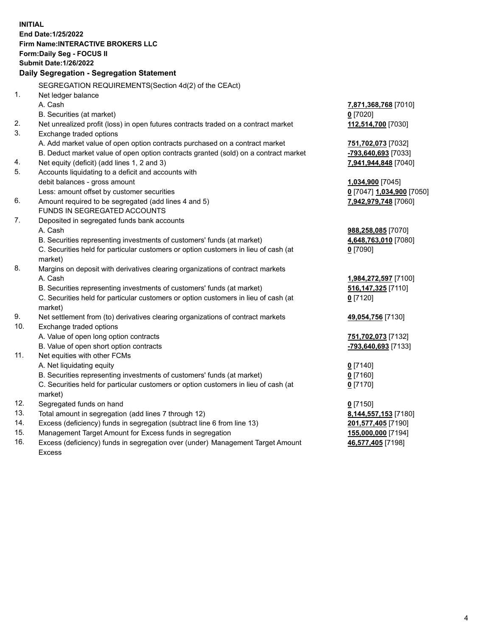**INITIAL End Date:1/25/2022 Firm Name:INTERACTIVE BROKERS LLC Form:Daily Seg - FOCUS II Submit Date:1/26/2022 Daily Segregation - Segregation Statement** SEGREGATION REQUIREMENTS(Section 4d(2) of the CEAct) 1. Net ledger balance A. Cash **7,871,368,768** [7010] B. Securities (at market) **0** [7020] 2. Net unrealized profit (loss) in open futures contracts traded on a contract market **112,514,700** [7030] 3. Exchange traded options A. Add market value of open option contracts purchased on a contract market **751,702,073** [7032] B. Deduct market value of open option contracts granted (sold) on a contract market **-793,640,693** [7033] 4. Net equity (deficit) (add lines 1, 2 and 3) **7,941,944,848** [7040] 5. Accounts liquidating to a deficit and accounts with debit balances - gross amount **1,034,900** [7045] Less: amount offset by customer securities **0** [7047] **1,034,900** [7050] 6. Amount required to be segregated (add lines 4 and 5) **7,942,979,748** [7060] FUNDS IN SEGREGATED ACCOUNTS 7. Deposited in segregated funds bank accounts A. Cash **988,258,085** [7070] B. Securities representing investments of customers' funds (at market) **4,648,763,010** [7080] C. Securities held for particular customers or option customers in lieu of cash (at market) **0** [7090] 8. Margins on deposit with derivatives clearing organizations of contract markets A. Cash **1,984,272,597** [7100] B. Securities representing investments of customers' funds (at market) **516,147,325** [7110] C. Securities held for particular customers or option customers in lieu of cash (at market) **0** [7120] 9. Net settlement from (to) derivatives clearing organizations of contract markets **49,054,756** [7130] 10. Exchange traded options A. Value of open long option contracts **751,702,073** [7132] B. Value of open short option contracts **-793,640,693** [7133] 11. Net equities with other FCMs A. Net liquidating equity **0** [7140] B. Securities representing investments of customers' funds (at market) **0** [7160] C. Securities held for particular customers or option customers in lieu of cash (at market) **0** [7170] 12. Segregated funds on hand **0** [7150] 13. Total amount in segregation (add lines 7 through 12) **8,144,557,153** [7180] 14. Excess (deficiency) funds in segregation (subtract line 6 from line 13) **201,577,405** [7190] 15. Management Target Amount for Excess funds in segregation **155,000,000** [7194] **46,577,405** [7198]

16. Excess (deficiency) funds in segregation over (under) Management Target Amount Excess